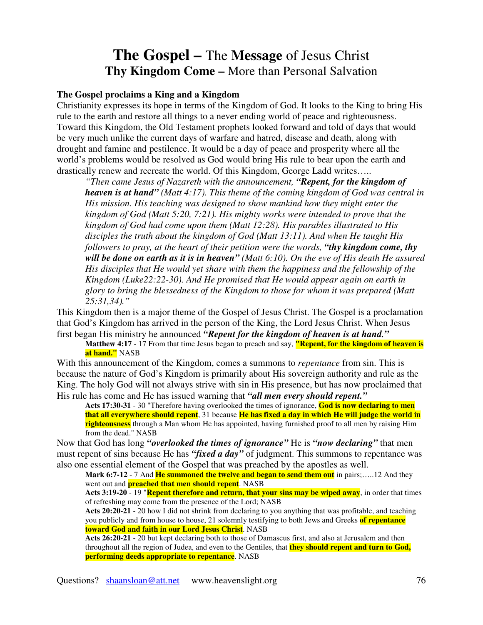## **The Gospel –** The **Message** of Jesus Christ **Thy Kingdom Come –** More than Personal Salvation

## **The Gospel proclaims a King and a Kingdom**

Christianity expresses its hope in terms of the Kingdom of God. It looks to the King to bring His rule to the earth and restore all things to a never ending world of peace and righteousness. Toward this Kingdom, the Old Testament prophets looked forward and told of days that would be very much unlike the current days of warfare and hatred, disease and death, along with drought and famine and pestilence. It would be a day of peace and prosperity where all the world's problems would be resolved as God would bring His rule to bear upon the earth and drastically renew and recreate the world. Of this Kingdom, George Ladd writes…..

*"Then came Jesus of Nazareth with the announcement, "Repent, for the kingdom of heaven is at hand" (Matt 4:17). This theme of the coming kingdom of God was central in His mission. His teaching was designed to show mankind how they might enter the kingdom of God (Matt 5:20, 7:21). His mighty works were intended to prove that the kingdom of God had come upon them (Matt 12:28). His parables illustrated to His disciples the truth about the kingdom of God (Matt 13:11). And when He taught His followers to pray, at the heart of their petition were the words, "thy kingdom come, thy* will be done on earth as it is in heaven" (Matt  $6:10$ ). On the eve of His death He assured *His disciples that He would yet share with them the happiness and the fellowship of the Kingdom (Luke22:22-30). And He promised that He would appear again on earth in glory to bring the blessedness of the Kingdom to those for whom it was prepared (Matt 25:31,34)."*

This Kingdom then is a major theme of the Gospel of Jesus Christ. The Gospel is a proclamation that God's Kingdom has arrived in the person of the King, the Lord Jesus Christ. When Jesus first began His ministry he announced *"Repent for the kingdom of heaven is at hand."*

**Matthew 4:17** - 17 From that time Jesus began to preach and say, **"Repent, for the kingdom of heaven is at hand."** NASB

With this announcement of the Kingdom, comes a summons to *repentance* from sin. This is because the nature of God's Kingdom is primarily about His sovereign authority and rule as the King. The holy God will not always strive with sin in His presence, but has now proclaimed that His rule has come and He has issued warning that *"all men every should repent."*

**Acts 17:30-31** - 30 "Therefore having overlooked the times of ignorance, **God is now declaring to men** that all everywhere should repent, 31 because He has fixed a day in which He will judge the world in **righteousness** through a Man whom He has appointed, having furnished proof to all men by raising Him from the dead." NASB

Now that God has long *"overlooked the times of ignorance"* He is *"now declaring"* that men must repent of sins because He has *"fixed a day"* of judgment. This summons to repentance was also one essential element of the Gospel that was preached by the apostles as well.

**Mark 6:7-12** - 7 And **He summoned the twelve and began to send them out** in pairs;…..12 And they went out and **preached that men should repent**. NASB

**Acts 3:19-20** - 19 "**Repent therefore and return, that your sins may be wiped away**, in order that times of refreshing may come from the presence of the Lord; NASB

**Acts 20:20-21** - 20 how I did not shrink from declaring to you anything that was profitable, and teaching you publicly and from house to house, 21 solemnly testifying to both Jews and Greeks **of repentance toward God and faith in our Lord Jesus Christ**. NASB

**Acts 26:20-21** - 20 but kept declaring both to those of Damascus first, and also at Jerusalem and then throughout all the region of Judea, and even to the Gentiles, that **they should repent and turn to God, performing deeds appropriate to repentance**. NASB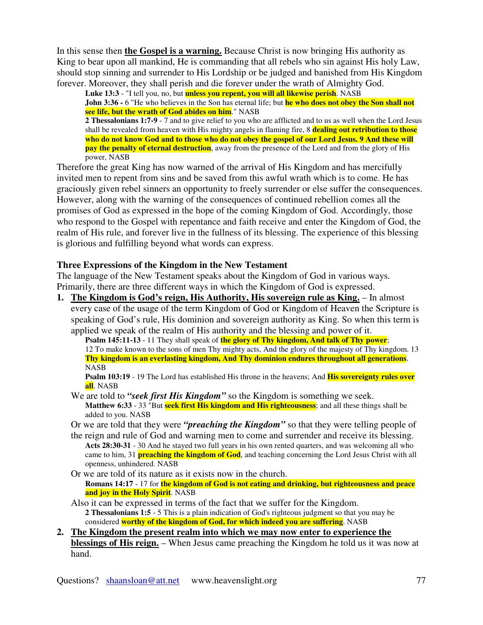In this sense then **the Gospel is a warning.** Because Christ is now bringing His authority as King to bear upon all mankind, He is commanding that all rebels who sin against His holy Law, should stop sinning and surrender to His Lordship or be judged and banished from His Kingdom forever. Moreover, they shall perish and die forever under the wrath of Almighty God.

**Luke 13:3** - "I tell you, no, but **unless you repent, you will all likewise perish**. NASB **John 3:36 -** 6 "He who believes in the Son has eternal life; but **he who does not obey the Son shall not see life, but the wrath of God abides on him**." NASB **2 Thessalonians 1:7-9** - 7 and to give relief to you who are afflicted and to us as well when the Lord Jesus shall be revealed from heaven with His mighty angels in flaming fire, 8 **dealing out retribution to those** 

**who do not know God and to those who do not obey the gospel of our Lord Jesus. 9 And these will pay the penalty of eternal destruction**, away from the presence of the Lord and from the glory of His power, NASB

Therefore the great King has now warned of the arrival of His Kingdom and has mercifully invited men to repent from sins and be saved from this awful wrath which is to come. He has graciously given rebel sinners an opportunity to freely surrender or else suffer the consequences. However, along with the warning of the consequences of continued rebellion comes all the promises of God as expressed in the hope of the coming Kingdom of God. Accordingly, those who respond to the Gospel with repentance and faith receive and enter the Kingdom of God, the realm of His rule, and forever live in the fullness of its blessing. The experience of this blessing is glorious and fulfilling beyond what words can express.

## **Three Expressions of the Kingdom in the New Testament**

The language of the New Testament speaks about the Kingdom of God in various ways. Primarily, there are three different ways in which the Kingdom of God is expressed.

**1. The Kingdom is God's reign, His Authority, His sovereign rule as King.** – In almost every case of the usage of the term Kingdom of God or Kingdom of Heaven the Scripture is speaking of God's rule, His dominion and sovereign authority as King. So when this term is applied we speak of the realm of His authority and the blessing and power of it.

**Psalm 145:11-13** - 11 They shall speak of **the glory of Thy kingdom, And talk of Thy power**; 12 To make known to the sons of men Thy mighty acts, And the glory of the majesty of Thy kingdom. 13 **Thy kingdom is an everlasting kingdom, And Thy dominion endures throughout all generations**. **NASB** 

**Psalm 103:19** - 19 The Lord has established His throne in the heavens; And **His sovereignty rules over all**. NASB

We are told to *"seek first His Kingdom"* so the Kingdom is something we seek. **Matthew 6:33** - 33 "But **seek first His kingdom and His righteousness**; and all these things shall be added to you. NASB

Or we are told that they were *"preaching the Kingdom"* so that they were telling people of

the reign and rule of God and warning men to come and surrender and receive its blessing. **Acts 28:30-31** - 30 And he stayed two full years in his own rented quarters, and was welcoming all who came to him, 31 **preaching the kingdom of God**, and teaching concerning the Lord Jesus Christ with all openness, unhindered. NASB

Or we are told of its nature as it exists now in the church. **Romans 14:17** - 17 for **the kingdom of God is not eating and drinking, but righteousness and peace and joy in the Holy Spirit**. NASB

Also it can be expressed in terms of the fact that we suffer for the Kingdom. **2 Thessalonians 1:5** - 5 This is a plain indication of God's righteous judgment so that you may be considered **worthy of the kingdom of God, for which indeed you are suffering**. NASB

**2. The Kingdom the present realm into which we may now enter to experience the blessings of His reign.** – When Jesus came preaching the Kingdom he told us it was now at hand.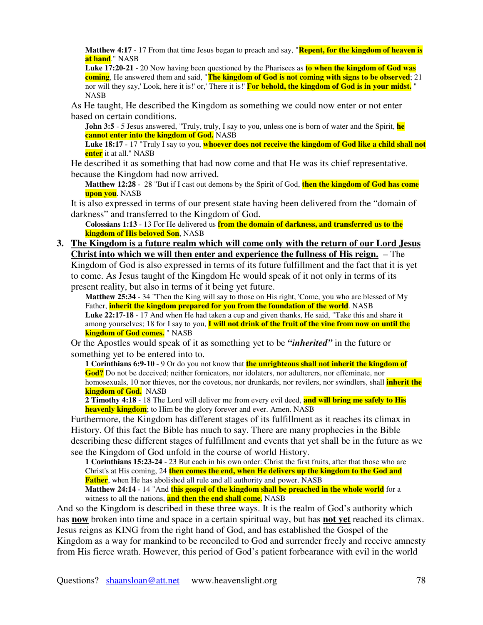**Matthew 4:17** - 17 From that time Jesus began to preach and say, "**Repent, for the kingdom of heaven is at hand**." NASB

**Luke 17:20-21** - 20 Now having been questioned by the Pharisees as **to when the kingdom of God was coming**, He answered them and said, "**The kingdom of God is not coming with signs to be observed**; 21 nor will they say,'Look, here it is!'or,'There it is!'**For behold, the kingdom of God is in your midst.** " NASB

As He taught, He described the Kingdom as something we could now enter or not enter based on certain conditions.

**John 3:5** - 5 Jesus answered, "Truly, truly, I say to you, unless one is born of water and the Spirit, **he cannot enter into the kingdom of God.** NASB

**Luke 18:17** - 17 "Truly I say to you, **whoever does not receive the kingdom of God like a child shall not enter** it at all." NASB

He described it as something that had now come and that He was its chief representative. because the Kingdom had now arrived.

**Matthew 12:28** - 28 "But if I cast out demons by the Spirit of God, **then the kingdom of God has come upon you**. NASB

It is also expressed in terms of our present state having been delivered from the "domain of darkness" and transferred to the Kingdom of God.

**Colossians 1:13** - 13 For He delivered us **from the domain of darkness, and transferred us to the kingdom of His beloved Son**, NASB

**3. The Kingdom is a future realm which will come only with the return of our Lord Jesus Christ into which we will then enter and experience the fullness of His reign.** – The

Kingdom of God is also expressed in terms of its future fulfillment and the fact that it is yet to come. As Jesus taught of the Kingdom He would speak of it not only in terms of its present reality, but also in terms of it being yet future.

**Matthew 25:34** - 34 "Then the King will say to those on His right, 'Come, you who are blessed of My Father, **inherit the kingdom prepared for you from the foundation of the world**. NASB **Luke 22:17-18** - 17 And when He had taken a cup and given thanks, He said, "Take this and share it among yourselves; 18 for I say to you, **I will not drink of the fruit of the vine from now on until the kingdom of God comes.** " NASB

Or the Apostles would speak of it as something yet to be *"inherited"* in the future or something yet to be entered into to.

**1 Corinthians 6:9-10** - 9 Or do you not know that **the unrighteous shall not inherit the kingdom of God?** Do not be deceived; neither fornicators, nor idolaters, nor adulterers, nor effeminate, nor homosexuals, 10 nor thieves, nor the covetous, nor drunkards, nor revilers, nor swindlers, shall **inherit the kingdom of God.** NASB

**2 Timothy 4:18** - 18 The Lord will deliver me from every evil deed, **and will bring me safely to His heavenly kingdom**; to Him be the glory forever and ever. Amen. NASB

Furthermore, the Kingdom has different stages of its fulfillment as it reaches its climax in History. Of this fact the Bible has much to say. There are many prophecies in the Bible describing these different stages of fulfillment and events that yet shall be in the future as we see the Kingdom of God unfold in the course of world History.

**1 Corinthians 15:23-24** - 23 But each in his own order: Christ the first fruits, after that those who are Christ's at His coming, 24 **then comes the end, when He delivers up the kingdom to the God and Father**, when He has abolished all rule and all authority and power. NASB

**Matthew 24:14** - 14 "And **this gospel of the kingdom shall be preached in the whole world** for a witness to all the nations, **and then the end shall come.** NASB

And so the Kingdom is described in these three ways. It is the realm of God's authority which has **now** broken into time and space in a certain spiritual way, but has **not yet** reached its climax. Jesus reigns as KING from the right hand of God, and has established the Gospel of the Kingdom as a way for mankind to be reconciled to God and surrender freely and receive amnesty from His fierce wrath. However, this period of God's patient forbearance with evil in the world